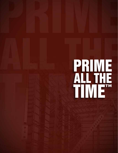## PRIME<br>ALTHE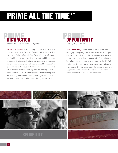## PRIME ALL THE TIME™



**Prime Distinction** means choosing the only coil coater that operates two state-of-the-art facilities solely dedicated to painting and slitting hot rolled steel coil. Not only will you get the flexibility of a lean organization with the ability to adapt to constantly changing business environments and product design requirements, you will receive a quality product that goes far beyond the industry standard. It means your products will have the best paint flexibility, with no cracking or rusting on roll formed edges. An ISO Registered Quality Management Systems coupled with our uncompromising attention to detail will ensure your final product meets the highest standards.



*Prime opportunity* means choosing a coil coater who can leverage your buying power, so you can secure prime, prepainted hot rolled steel at the most competitive price. It means having the ability to procure all of the coil coated hot rolled steel products that you need; whether it's fullwidth coil, slit coil, punched and formed eave plates, or even angles. It's the opportunity to utilize a seasoned supply chain partner with the resources and expertise to assist you with all of your coil coating needs.

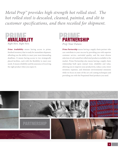*Metal Prep™ provides high strength hot rolled steel. The hot rolled steel is descaled, cleaned, painted, and slit to customer specifications, and then recoiled for shipment.* 



*Prime Availability* means having access to prime, finished inventory that is ready for immediate shipment, affording you the ability to meet your most demanding deadlines. It means having access to two strategically placed facilities, each with the flexibility to meet your needs. It means reliability and the assurance of receiving the right product when you expect it.



*Prime Partnership* means having a supply chain partner who can contribute to your success by providing you with superior customer service, unrivaled quality, and the most diverse selection of coil coated hot rolled steel products available to the market. Prime Partnership also means having a supply chain relationship built upon mutual trust, reliability and value, allowing you to improve your productivity, reduce costs, lower inventory expenses, and eliminate environmental emissions while we focus on state-of-the-art coil coating techniques and providing you with the Prepainted Steel products you need.